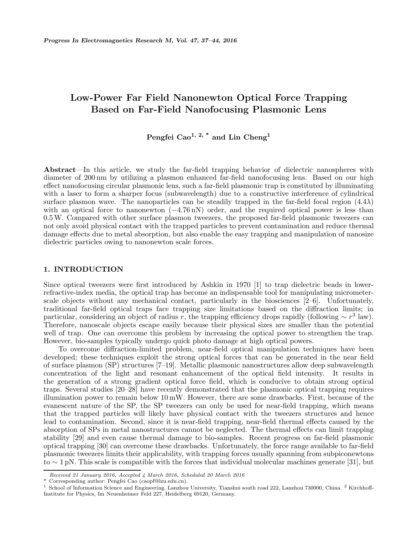# **Low-Power Far Field Nanonewton Optical Force Trapping Based on Far-Field Nanofocusing Plasmonic Lens**

## **Pengfei Cao1, 2, \* and Lin Cheng<sup>1</sup>**

**Abstract**—In this article, we study the far-field trapping behavior of dielectric nanospheres with diameter of 200 nm by utilizing a plasmon enhanced far-field nanofocusing lens. Based on our high effect nanofocusing circular plasmonic lens, such a far-field plasmonic trap is constituted by illuminating with a laser to form a sharper focus (subwavelength) due to a constructive interference of cylindrical surface plasmon wave. The nanoparticles can be steadily trapped in the far-field focal region  $(4.4\lambda)$ with an optical force to nanonewton  $(-4.76 \text{ nN})$  order, and the required optical power is less than 0.5W. Compared with other surface plasmon tweezers, the proposed far-field plasmonic tweezers can not only avoid physical contact with the trapped particles to prevent contamination and reduce thermal damage effects due to metal absorption, but also enable the easy trapping and manipulation of nanosize dielectric particles owing to nanonewton scale forces.

## **1. INTRODUCTION**

Since optical tweezers were first introduced by Ashkin in 1970 [1] to trap dielectric beads in lowerrefractive-index media, the optical trap has become an indispensable tool for manipulating micrometerscale objects without any mechanical contact, particularly in the biosciences [2–6]. Unfortunately, traditional far-field optical traps face trapping size limitations based on the diffraction limits; in particular, considering an object of radius r, the trapping efficiency drops rapidly (following  $\sim r^3$  law). Therefore, nanoscale objects escape easily because their physical sizes are smaller than the potential well of trap. One can overcome this problem by increasing the optical power to strengthen the trap. However, bio-samples typically undergo quick photo damage at high optical powers.

To overcome diffraction-limited problem, near-field optical manipulation techniques have been developed; these techniques exploit the strong optical forces that can be generated in the near field of surface plasmon (SP) structures [7–19]. Metallic plasmonic nanostructures allow deep subwavelength concentration of the light and resonant enhancement of the optical field intensity. It results in the generation of a strong gradient optical force field, which is conducive to obtain strong optical traps. Several studies [20–28] have recently demonstrated that the plasmonic optical trapping requires illumination power to remain below 10 mW. However, there are some drawbacks. First, because of the evanescent nature of the SP, the SP tweezers can only be used for near-field trapping, which means that the trapped particles will likely have physical contact with the tweezers structures and hence lead to contamination. Second, since it is near-field trapping, near-field thermal effects caused by the absorption of SPs in metal nanostructures cannot be neglected. The thermal effects can limit trapping stability [29] and even cause thermal damage to bio-samples. Recent progress on far-field plasmonic optical trapping [30] can overcome these drawbacks. Unfortunately, the force range available to far-field plasmonic tweezers limits their applicability, with trapping forces usually spanning from subpiconewtons to ∼ 1 pN. This scale is compatible with the forces that individual molecular machines generate [31], but

*Received 21 January 2016, Accepted 4 March 2016, Scheduled 20 March 2016*

Corresponding author: Pengfei Cao (caopf@lzu.edu.cn).

<sup>&</sup>lt;sup>1</sup> School of Information Science and Engineering, Lanzhou University, Tianshui south road 222, Lanzhou 730000, China. <sup>2</sup> Kirchhoff-Institute for Physics, Im Neuenheimer Feld 227, Heidelberg 69120, Germany.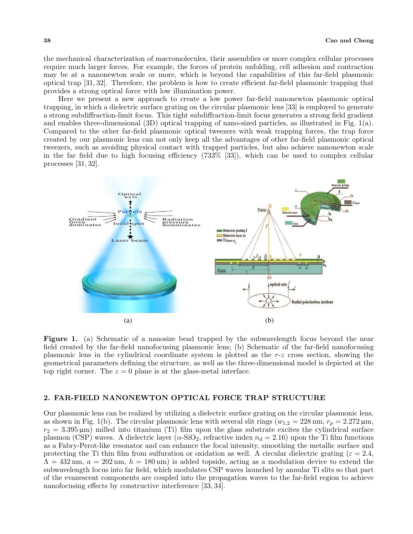the mechanical characterization of macromolecules, their assemblies or more complex cellular processes require much larger forces. For example, the forces of protein unfolding, cell adhesion and contraction may be at a nanonewton scale or more, which is beyond the capabilities of this far-field plasmonic optical trap [31, 32]. Therefore, the problem is how to create efficient far-field plasmonic trapping that provides a strong optical force with low illumination power.

Here we present a new approach to create a low power far-field nanonewton plasmonic optical trapping, in which a dielectric surface grating on the circular plasmonic lens [33] is employed to generate a strong subdiffraction-limit focus. This tight subdiffraction-limit focus generates a strong field gradient and enables three-dimensional (3D) optical trapping of nano-sized particles, as illustrated in Fig. 1(a). Compared to the other far-field plasmonic optical tweezers with weak trapping forces, the trap force created by our plasmonic lens can not only keep all the advantages of other far-field plasmonic optical tweezers, such as avoiding physical contact with trapped particles, but also achieve nanonewton scale in the far field due to high focusing efficiency (733% [33]), which can be used to complex cellular processes [31, 32].



**Figure 1.** (a) Schematic of a nanosize bead trapped by the subwavelength focus beyond the near field created by the far-field nanofocusing plasmonic lens; (b) Schematic of the far-field nanofocusing plasmonic lens in the cylindrical coordinate system is plotted as the r-z cross section, showing the geometrical parameters defining the structure, as well as the three-dimensional model is depicted at the top right corner. The  $z = 0$  plane is at the glass-metal interface.

#### **2. FAR-FIELD NANONEWTON OPTICAL FORCE TRAP STRUCTURE**

Our plasmonic lens can be realized by utilizing a dielectric surface grating on the circular plasmonic lens, as shown in Fig. 1(b). The circular plasmonic lens with several slit rings  $(w_{1,2} = 228 \text{ nm}, r_p = 2.272 \mu \text{m},$  $r_2 = 3.395 \,\mu\text{m}$ ) milled into titanium (Ti) film upon the glass substrate excites the cylindrical surface plasmon (CSP) waves. A dielectric layer ( $\alpha$ -SiO<sub>2</sub>, refractive index  $n_d = 2.16$ ) upon the Ti film functions as a Fabry-Perot-like resonator and can enhance the focal intensity, smoothing the metallic surface and protecting the Ti thin film from sulfuration or oxidation as well. A circular dielectric grating ( $\varepsilon = 2.4$ ,  $\Lambda = 432$  nm,  $a = 202$  nm,  $h = 180$  nm) is added topside, acting as a modulation device to extend the subwavelength focus into far field, which modulates CSP waves launched by annular Ti slits so that part of the evanescent components are coupled into the propagation waves to the far-field region to achieve nanofocusing effects by constructive interference [33, 34].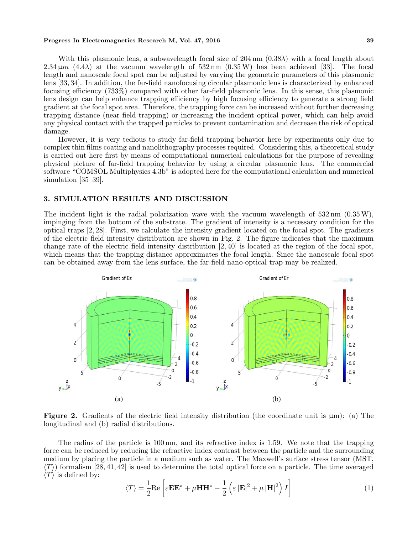#### **Progress In Electromagnetics Research M, Vol. 47, 2016 39**

With this plasmonic lens, a subwavelength focal size of  $204 \text{ nm}$   $(0.38\lambda)$  with a focal length about 2.34  $\mu$ m (4.4 $\lambda$ ) at the vacuum wavelength of 532 nm (0.35 W) has been achieved [33]. The focal length and nanoscale focal spot can be adjusted by varying the geometric parameters of this plasmonic lens [33, 34]. In addition, the far-field nanofocusing circular plasmonic lens is characterized by enhanced focusing efficiency (733%) compared with other far-field plasmonic lens. In this sense, this plasmonic lens design can help enhance trapping efficiency by high focusing efficiency to generate a strong field gradient at the focal spot area. Therefore, the trapping force can be increased without further decreasing trapping distance (near field trapping) or increasing the incident optical power, which can help avoid any physical contact with the trapped particles to prevent contamination and decrease the risk of optical damage.

However, it is very tedious to study far-field trapping behavior here by experiments only due to complex thin films coating and nanolithography processes required. Considering this, a theoretical study is carried out here first by means of computational numerical calculations for the purpose of revealing physical picture of far-field trapping behavior by using a circular plasmonic lens. The commercial software "COMSOL Multiphysics 4.3b" is adopted here for the computational calculation and numerical simulation [35–39].

#### **3. SIMULATION RESULTS AND DISCUSSION**

The incident light is the radial polarization wave with the vacuum wavelength of  $532 \text{ nm}$  (0.35 W), impinging from the bottom of the substrate. The gradient of intensity is a necessary condition for the optical traps [2, 28]. First, we calculate the intensity gradient located on the focal spot. The gradients of the electric field intensity distribution are shown in Fig. 2. The figure indicates that the maximum change rate of the electric field intensity distribution [2, 40] is located at the region of the focal spot, which means that the trapping distance approximates the focal length. Since the nanoscale focal spot can be obtained away from the lens surface, the far-field nano-optical trap may be realized.



**Figure 2.** Gradients of the electric field intensity distribution (the coordinate unit is  $\mu$ m): (a) The longitudinal and (b) radial distributions.

The radius of the particle is 100 nm, and its refractive index is 1.59. We note that the trapping force can be reduced by reducing the refractive index contrast between the particle and the surrounding medium by placing the particle in a medium such as water. The Maxwell's surface stress tensor (MST,  $\langle T \rangle$  formalism [28, 41, 42] is used to determine the total optical force on a particle. The time averaged  $\langle T \rangle$  is defined by:

$$
\langle T \rangle = \frac{1}{2} \text{Re} \left[ \varepsilon \mathbf{E} \mathbf{E}^* + \mu \mathbf{H} \mathbf{H}^* - \frac{1}{2} \left( \varepsilon \left| \mathbf{E} \right|^2 + \mu \left| \mathbf{H} \right|^2 \right) I \right]
$$
 (1)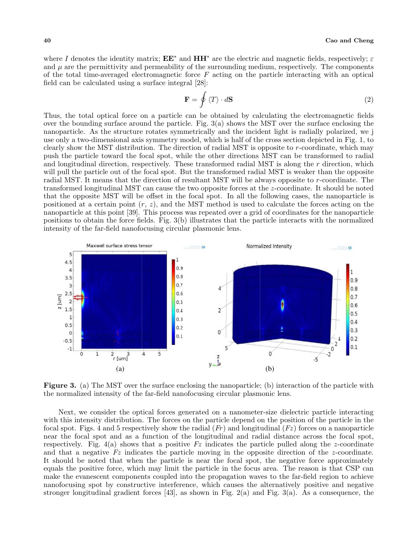where I denotes the identity matrix;  $EE^*$  and  $HH^*$  are the electric and magnetic fields, respectively;  $\varepsilon$ and  $\mu$  are the permittivity and permeability of the surrounding medium, respectively. The components of the total time-averaged electromagnetic force  $F$  acting on the particle interacting with an optical field can be calculated using a surface integral [28]:

$$
\mathbf{F} = \oint \langle T \rangle \cdot d\mathbf{S} \tag{2}
$$

Thus, the total optical force on a particle can be obtained by calculating the electromagnetic fields over the bounding surface around the particle. Fig. 3(a) shows the MST over the surface enclosing the nanoparticle. As the structure rotates symmetrically and the incident light is radially polarized, we j use only a two-dimensional axis symmetry model, which is half of the cross section depicted in Fig. 1, to clearly show the MST distribution. The direction of radial MST is opposite to r-coordinate, which may push the particle toward the focal spot, while the other directions MST can be transformed to radial and longitudinal direction, respectively. These transformed radial MST is along the r direction, which will pull the particle out of the focal spot. But the transformed radial MST is weaker than the opposite radial MST. It means that the direction of resultant MST will be always opposite to r-coordinate. The transformed longitudinal MST can cause the two opposite forces at the z-coordinate. It should be noted that the opposite MST will be offset in the focal spot. In all the following cases, the nanoparticle is positioned at a certain point  $(r, z)$ , and the MST method is used to calculate the forces acting on the nanoparticle at this point [39]. This process was repeated over a grid of coordinates for the nanoparticle positions to obtain the force fields. Fig. 3(b) illustrates that the particle interacts with the normalized intensity of the far-field nanofocusing circular plasmonic lens.



**Figure 3.** (a) The MST over the surface enclosing the nanoparticle; (b) interaction of the particle with the normalized intensity of the far-field nanofocusing circular plasmonic lens.

Next, we consider the optical forces generated on a nanometer-size dielectric particle interacting with this intensity distribution. The forces on the particle depend on the position of the particle in the focal spot. Figs. 4 and 5 respectively show the radial (*Fr* ) and longitudinal (*Fz* ) forces on a nanoparticle near the focal spot and as a function of the longitudinal and radial distance across the focal spot, respectively. Fig.  $4(a)$  shows that a positive  $Fz$  indicates the particle pulled along the z-coordinate and that a negative  $F\overline{z}$  indicates the particle moving in the opposite direction of the *z*-coordinate. It should be noted that when the particle is near the focal spot, the negative force approximately equals the positive force, which may limit the particle in the focus area. The reason is that CSP can make the evanescent components coupled into the propagation waves to the far-field region to achieve nanofocusing spot by constructive interference, which causes the alternatively positive and negative stronger longitudinal gradient forces  $[43]$ , as shown in Fig. 2(a) and Fig. 3(a). As a consequence, the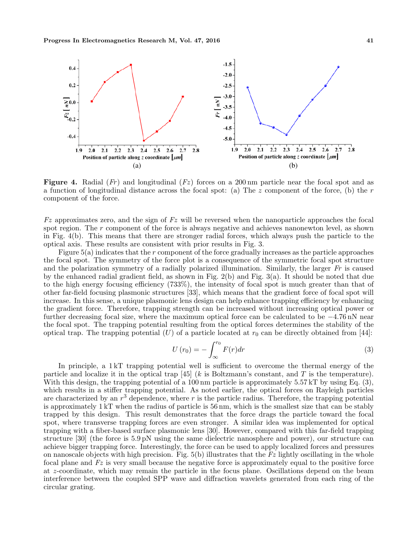

**Figure 4.** Radial (*Fr*) and longitudinal (*Fz*) forces on a 200 nm particle near the focal spot and as a function of longitudinal distance across the focal spot: (a) The z component of the force, (b) the r component of the force.

*Fz* approximates zero, and the sign of *Fz* will be reversed when the nanoparticle approaches the focal spot region. The r component of the force is always negative and achieves nanonewton level, as shown in Fig. 4(b). This means that there are stronger radial forces, which always push the particle to the optical axis. These results are consistent with prior results in Fig. 3.

Figure  $5(a)$  indicates that the r component of the force gradually increases as the particle approaches the focal spot. The symmetry of the force plot is a consequence of the symmetric focal spot structure and the polarization symmetry of a radially polarized illumination. Similarly, the larger *Fr* is caused by the enhanced radial gradient field, as shown in Fig. 2(b) and Fig. 3(a). It should be noted that due to the high energy focusing efficiency (733%), the intensity of focal spot is much greater than that of other far-field focusing plasmonic structures [33], which means that the gradient force of focal spot will increase. In this sense, a unique plasmonic lens design can help enhance trapping efficiency by enhancing the gradient force. Therefore, trapping strength can be increased without increasing optical power or further decreasing focal size, where the maximum optical force can be calculated to be <sup>−</sup>4.76 nN near the focal spot. The trapping potential resulting from the optical forces determines the stability of the optical trap. The trapping potential  $(U)$  of a particle located at  $r_0$  can be directly obtained from [44]:

$$
U(r_0) = -\int_{\infty}^{r_0} F(r) dr \tag{3}
$$

In principle, a 1 kT trapping potential well is sufficient to overcome the thermal energy of the particle and localize it in the optical trap  $[45]$  (k is Boltzmann's constant, and T is the temperature). With this design, the trapping potential of a 100 nm particle is approximately 5.57 kT by using Eq. (3), which results in a stiffer trapping potential. As noted earlier, the optical forces on Rayleigh particles are characterized by an  $r^3$  dependence, where r is the particle radius. Therefore, the trapping potential is approximately 1 kT when the radius of particle is 56 nm, which is the smallest size that can be stably trapped by this design. This result demonstrates that the force drags the particle toward the focal spot, where transverse trapping forces are even stronger. A similar idea was implemented for optical trapping with a fiber-based surface plasmonic lens [30]. However, compared with this far-field trapping structure [30] (the force is 5.9 pN using the same dielectric nanosphere and power), our structure can achieve bigger trapping force. Interestingly, the force can be used to apply localized forces and pressures on nanoscale objects with high precision. Fig. 5(b) illustrates that the *Fz* lightly oscillating in the whole focal plane and *Fz* is very small because the negative force is approximately equal to the positive force at z-coordinate, which may remain the particle in the focus plane. Oscillations depend on the beam interference between the coupled SPP wave and diffraction wavelets generated from each ring of the circular grating.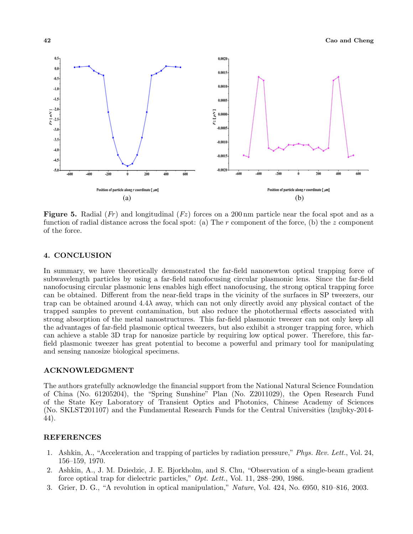

**Figure 5.** Radial (*Fr*) and longitudinal (*Fz*) forces on a 200 nm particle near the focal spot and as a function of radial distance across the focal spot: (a) The r component of the force, (b) the z component of the force.

## **4. CONCLUSION**

In summary, we have theoretically demonstrated the far-field nanonewton optical trapping force of subwavelength particles by using a far-field nanofocusing circular plasmonic lens. Since the far-field nanofocusing circular plasmonic lens enables high effect nanofocusing, the strong optical trapping force can be obtained. Different from the near-field traps in the vicinity of the surfaces in SP tweezers, our trap can be obtained around  $4.4\lambda$  away, which can not only directly avoid any physical contact of the trapped samples to prevent contamination, but also reduce the photothermal effects associated with strong absorption of the metal nanostructures. This far-field plasmonic tweezer can not only keep all the advantages of far-field plasmonic optical tweezers, but also exhibit a stronger trapping force, which can achieve a stable 3D trap for nanosize particle by requiring low optical power. Therefore, this farfield plasmonic tweezer has great potential to become a powerful and primary tool for manipulating and sensing nanosize biological specimens.

#### **ACKNOWLEDGMENT**

The authors gratefully acknowledge the financial support from the National Natural Science Foundation of China (No. 61205204), the "Spring Sunshine" Plan (No. Z2011029), the Open Research Fund of the State Key Laboratory of Transient Optics and Photonics, Chinese Academy of Sciences (No. SKLST201107) and the Fundamental Research Funds for the Central Universities (lzujbky-2014- 44).

#### **REFERENCES**

- 1. Ashkin, A., "Acceleration and trapping of particles by radiation pressure," *Phys. Rev. Lett.*, Vol. 24, 156–159, 1970.
- 2. Ashkin, A., J. M. Dziedzic, J. E. Bjorkholm, and S. Chu, "Observation of a single-beam gradient force optical trap for dielectric particles," *Opt. Lett.*, Vol. 11, 288–290, 1986.
- 3. Grier, D. G., "A revolution in optical manipulation," *Nature*, Vol. 424, No. 6950, 810–816, 2003.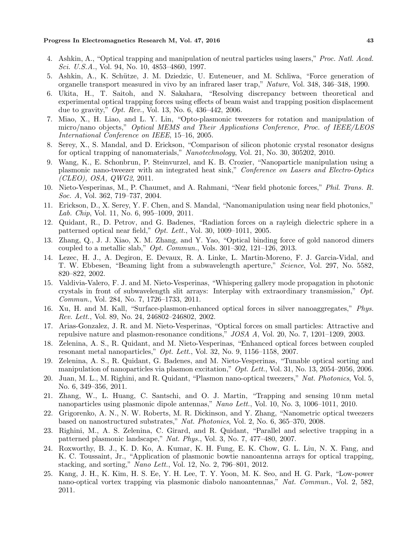#### **Progress In Electromagnetics Research M, Vol. 47, 2016 43**

- 4. Ashkin, A., "Optical trapping and manipulation of neutral particles using lasers," *Proc. Natl. Acad. Sci. U.S.A.*, Vol. 94, No. 10, 4853–4860, 1997.
- 5. Ashkin, A., K. Schütze, J. M. Dziedzic, U. Euteneuer, and M. Schliwa, "Force generation of organelle transport measured in vivo by an infrared laser trap," *Nature*, Vol. 348, 346–348, 1990.
- 6. Ukita, H., T. Saitoh, and N. Sakahara, "Resolving discrepancy between theoretical and experimental optical trapping forces using effects of beam waist and trapping position displacement due to gravity," *Opt. Rev.*, Vol. 13, No. 6, 436–442, 2006.
- 7. Miao, X., H. Liao, and L. Y. Lin, "Opto-plasmonic tweezers for rotation and manipulation of micro/nano objects," *Optical MEMS and Their Applications Conference, Proc. of IEEE/LEOS International Conference on IEEE*, 15–16, 2005.
- 8. Serey, X., S. Mandal, and D. Erickson, "Comparison of silicon photonic crystal resonator designs for optical trapping of nanomaterials," *Nanotechnology*, Vol. 21, No. 30, 305202, 2010.
- 9. Wang, K., E. Schonbrun, P. Steinvurzel, and K. B. Crozier, "Nanoparticle manipulation using a plasmonic nano-tweezer with an integrated heat sink," *Conference on Lasers and Electro-Optics (CLEO), OSA, QWG2*, 2011.
- 10. Nieto-Vesperinas, M., P. Chaumet, and A. Rahmani, "Near field photonic forces," *Phil. Trans. R. Soc. A*, Vol. 362, 719–737, 2004.
- 11. Erickson, D., X. Serey, Y. F. Chen, and S. Mandal, "Nanomanipulation using near field photonics," *Lab. Chip*, Vol. 11, No. 6, 995–1009, 2011.
- 12. Quidant, R., D. Petrov, and G. Badenes, "Radiation forces on a rayleigh dielectric sphere in a patterned optical near field," *Opt. Lett.*, Vol. 30, 1009–1011, 2005.
- 13. Zhang, Q., J. J. Xiao, X. M. Zhang, and Y. Yao, "Optical binding force of gold nanorod dimers coupled to a metallic slab," *Opt. Commun.*, Vols. 301–302, 121–126, 2013.
- 14. Lezec, H. J., A. Degiron, E. Devaux, R. A. Linke, L. Martin-Moreno, F. J. Garcia-Vidal, and T. W. Ebbesen, "Beaming light from a subwavelength aperture," *Science*, Vol. 297, No. 5582, 820–822, 2002.
- 15. Valdivia-Valero, F. J. and M. Nieto-Vesperinas, "Whispering gallery mode propagation in photonic crystals in front of subwavelength slit arrays: Interplay with extraordinary transmission," *Opt. Commun.*, Vol. 284, No. 7, 1726–1733, 2011.
- 16. Xu, H. and M. Kall, "Surface-plasmon-enhanced optical forces in silver nanoaggregates," *Phys. Rev. Lett.*, Vol. 89, No. 24, 246802–246802, 2002.
- 17. Arias-Gonzalez, J. R. and M. Nieto-Vesperinas, "Optical forces on small particles: Attractive and repulsive nature and plasmon-resonance conditions," *JOSA A*, Vol. 20, No. 7, 1201–1209, 2003.
- 18. Zelenina, A. S., R. Quidant, and M. Nieto-Vesperinas, "Enhanced optical forces between coupled resonant metal nanoparticles," *Opt. Lett.*, Vol. 32, No. 9, 1156–1158, 2007.
- 19. Zelenina, A. S., R. Quidant, G. Badenes, and M. Nieto-Vesperinas, "Tunable optical sorting and manipulation of nanoparticles via plasmon excitation," *Opt. Lett.*, Vol. 31, No. 13, 2054–2056, 2006.
- 20. Juan, M. L., M. Righini, and R. Quidant, "Plasmon nano-optical tweezers," *Nat. Photonics*, Vol. 5, No. 6, 349–356, 2011.
- 21. Zhang, W., L. Huang, C. Santschi, and O. J. Martin, "Trapping and sensing 10 nm metal nanoparticles using plasmonic dipole antennas," *Nano Lett.*, Vol. 10, No. 3, 1006–1011, 2010.
- 22. Grigorenko, A. N., N. W. Roberts, M. R. Dickinson, and Y. Zhang, "Nanometric optical tweezers based on nanostructured substrates," *Nat. Photonics*, Vol. 2, No. 6, 365–370, 2008.
- 23. Righini, M., A. S. Zelenina, C. Girard, and R. Quidant, "Parallel and selective trapping in a patterned plasmonic landscape," *Nat. Phys.*, Vol. 3, No. 7, 477–480, 2007.
- 24. Roxworthy, B. J., K. D. Ko, A. Kumar, K. H. Fung, E. K. Chow, G. L. Liu, N. X. Fang, and K. C. Toussaint, Jr., "Application of plasmonic bowtie nanoantenna arrays for optical trapping, stacking, and sorting," *Nano Lett.*, Vol. 12, No. 2, 796–801, 2012.
- 25. Kang, J. H., K. Kim, H. S. Ee, Y. H. Lee, T. Y. Yoon, M. K. Seo, and H. G. Park, "Low-power nano-optical vortex trapping via plasmonic diabolo nanoantennas," *Nat. Commun.*, Vol. 2, 582, 2011.